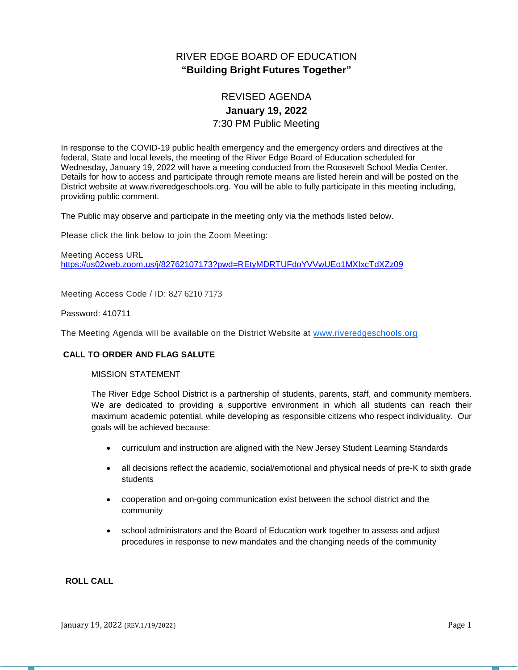# RIVER EDGE BOARD OF EDUCATION **"Building Bright Futures Together"**

# REVISED AGENDA **January 19, 2022** 7:30 PM Public Meeting

In response to the COVID-19 public health emergency and the emergency orders and directives at the federal, State and local levels, the meeting of the River Edge Board of Education scheduled for Wednesday, January 19, 2022 will have a meeting conducted from the Roosevelt School Media Center. Details for how to access and participate through remote means are listed herein and will be posted on the District website at www.riveredgeschools.org. You will be able to fully participate in this meeting including, providing public comment.

The Public may observe and participate in the meeting only via the methods listed below.

Please click the link below to join the Zoom Meeting:

Meeting Access URL <https://us02web.zoom.us/j/82762107173?pwd=REtyMDRTUFdoYVVwUEo1MXIxcTdXZz09>

Meeting Access Code / ID: 827 6210 7173

#### Password: 410711

The Meeting Agenda will be available on the District Website at www[.riveredgeschools.org](http://riveredgeschools.org/)

# **CALL TO ORDER AND FLAG SALUTE**

# MISSION STATEMENT

The River Edge School District is a partnership of students, parents, staff, and community members. We are dedicated to providing a supportive environment in which all students can reach their maximum academic potential, while developing as responsible citizens who respect individuality. Our goals will be achieved because:

- curriculum and instruction are aligned with the New Jersey Student Learning Standards
- all decisions reflect the academic, social/emotional and physical needs of pre-K to sixth grade students
- cooperation and on-going communication exist between the school district and the community
- school administrators and the Board of Education work together to assess and adjust procedures in response to new mandates and the changing needs of the community

#### **ROLL CALL**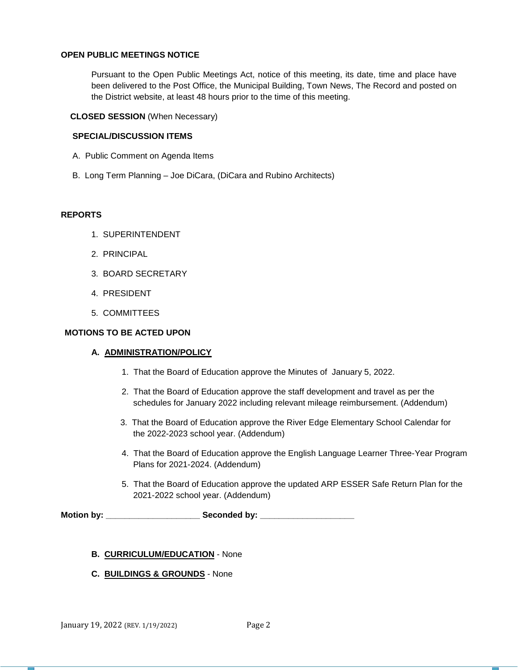### **OPEN PUBLIC MEETINGS NOTICE**

Pursuant to the Open Public Meetings Act, notice of this meeting, its date, time and place have been delivered to the Post Office, the Municipal Building, Town News, The Record and posted on the District website, at least 48 hours prior to the time of this meeting.

## **CLOSED SESSION** (When Necessary)

### **SPECIAL/DISCUSSION ITEMS**

- A. Public Comment on Agenda Items
- B. Long Term Planning Joe DiCara, (DiCara and Rubino Architects)

#### **REPORTS**

- 1. SUPERINTENDENT
- 2. PRINCIPAL
- 3. BOARD SECRETARY
- 4. PRESIDENT
- 5. COMMITTEES

## **MOTIONS TO BE ACTED UPON**

#### **A. ADMINISTRATION/POLICY**

- 1. That the Board of Education approve the Minutes of January 5, 2022.
- 2. That the Board of Education approve the staff development and travel as per the schedules for January 2022 including relevant mileage reimbursement. (Addendum)
- 3. That the Board of Education approve the River Edge Elementary School Calendar for the 2022-2023 school year. (Addendum)
- 4. That the Board of Education approve the English Language Learner Three-Year Program Plans for 2021-2024. (Addendum)
- 5. That the Board of Education approve the updated ARP ESSER Safe Return Plan for the 2021-2022 school year. (Addendum)

**Motion by: \_\_\_\_\_\_\_\_\_\_\_\_\_\_\_\_\_\_\_\_ Seconded by: \_\_\_\_\_\_\_\_\_\_\_\_\_\_\_\_\_\_\_\_**

#### **B. CURRICULUM/EDUCATION** - None

**C. BUILDINGS & GROUNDS** - None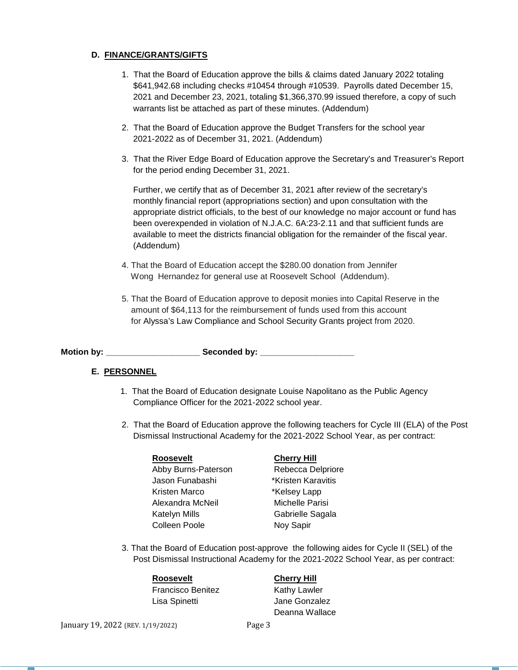# **D. FINANCE/GRANTS/GIFTS**

- 1. That the Board of Education approve the bills & claims dated January 2022 totaling \$641,942.68 including checks #10454 through #10539. Payrolls dated December 15, 2021 and December 23, 2021, totaling \$1,366,370.99 issued therefore, a copy of such warrants list be attached as part of these minutes. (Addendum)
- 2. That the Board of Education approve the Budget Transfers for the school year 2021-2022 as of December 31, 2021. (Addendum)
- 3. That the River Edge Board of Education approve the Secretary's and Treasurer's Report for the period ending December 31, 2021.

Further, we certify that as of December 31, 2021 after review of the secretary's monthly financial report (appropriations section) and upon consultation with the appropriate district officials, to the best of our knowledge no major account or fund has been overexpended in violation of N.J.A.C. 6A:23-2.11 and that sufficient funds are available to meet the districts financial obligation for the remainder of the fiscal year. (Addendum)

- 4. That the Board of Education accept the \$280.00 donation from Jennifer Wong Hernandez for general use at Roosevelt School (Addendum).
- 5. That the Board of Education approve to deposit monies into Capital Reserve in the amount of \$64,113 for the reimbursement of funds used from this account for Alyssa's Law Compliance and School Security Grants project from 2020.

Motion by: \_\_\_\_\_\_\_\_\_\_\_\_\_\_\_\_\_\_\_\_\_\_\_\_\_\_\_\_ Seconded by: \_\_\_\_\_\_\_\_\_\_\_\_\_\_\_\_\_\_\_\_\_\_\_\_\_\_\_\_

# **E. PERSONNEL**

- 1. That the Board of Education designate Louise Napolitano as the Public Agency Compliance Officer for the 2021-2022 school year.
- 2. That the Board of Education approve the following teachers for Cycle III (ELA) of the Post Dismissal Instructional Academy for the 2021-2022 School Year, as per contract:

| Roosevelt           |  |
|---------------------|--|
| Abby Burns-Paterson |  |
| Jason Funabashi     |  |
| Kristen Marco       |  |
| Alexandra McNeil    |  |
| Katelyn Mills       |  |
| Colleen Poole       |  |

#### **Cherry Hill**

Rebecca Delpriore \*Kristen Karavitis \*Kelsey Lapp Michelle Parisi Gabrielle Sagala Noy Sapir

3. That the Board of Education post-approve the following aides for Cycle II (SEL) of the Post Dismissal Instructional Academy for the 2021-2022 School Year, as per contract:

# **Roosevelt Cherry Hill**

Francisco Benitez Kathy Lawler Lisa Spinetti **Algeria Conzalez** 

Deanna Wallace

January 19, 2022 (REV. 1/19/2022) Page 3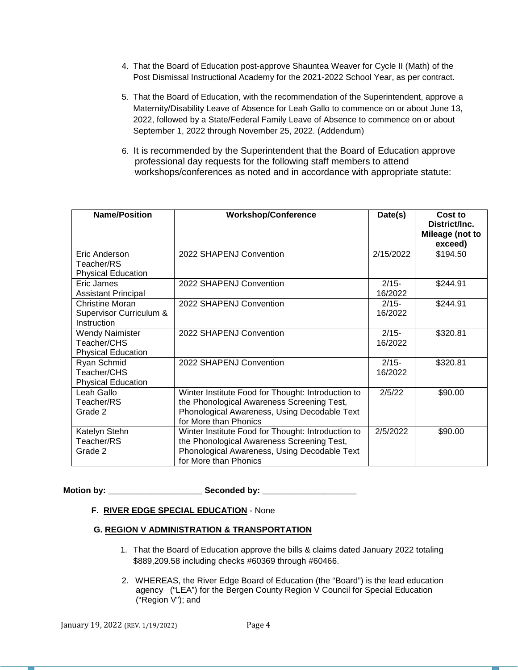- 4. That the Board of Education post-approve Shauntea Weaver for Cycle II (Math) of the Post Dismissal Instructional Academy for the 2021-2022 School Year, as per contract.
- 5. That the Board of Education, with the recommendation of the Superintendent, approve a Maternity/Disability Leave of Absence for Leah Gallo to commence on or about June 13, 2022, followed by a State/Federal Family Leave of Absence to commence on or about September 1, 2022 through November 25, 2022. (Addendum)
- 6. It is recommended by the Superintendent that the Board of Education approve professional day requests for the following staff members to attend workshops/conferences as noted and in accordance with appropriate statute:

| <b>Name/Position</b>                                                    | <b>Workshop/Conference</b>                                                                                                                                                | Date(s)             | Cost to<br>District/Inc.<br>Mileage (not to<br>exceed) |
|-------------------------------------------------------------------------|---------------------------------------------------------------------------------------------------------------------------------------------------------------------------|---------------------|--------------------------------------------------------|
| Eric Anderson<br>Teacher/RS<br><b>Physical Education</b>                | 2022 SHAPENJ Convention                                                                                                                                                   | 2/15/2022           | \$194.50                                               |
| Eric James<br><b>Assistant Principal</b>                                | 2022 SHAPENJ Convention                                                                                                                                                   | $2/15 -$<br>16/2022 | \$244.91                                               |
| <b>Christine Moran</b><br>Supervisor Curriculum &<br><b>Instruction</b> | 2022 SHAPENJ Convention                                                                                                                                                   | $2/15 -$<br>16/2022 | \$244.91                                               |
| <b>Wendy Naimister</b><br>Teacher/CHS<br><b>Physical Education</b>      | 2022 SHAPENJ Convention                                                                                                                                                   | $2/15 -$<br>16/2022 | \$320.81                                               |
| Ryan Schmid<br>Teacher/CHS<br><b>Physical Education</b>                 | 2022 SHAPENJ Convention                                                                                                                                                   | $2/15 -$<br>16/2022 | \$320.81                                               |
| Leah Gallo<br>Teacher/RS<br>Grade 2                                     | Winter Institute Food for Thought: Introduction to<br>the Phonological Awareness Screening Test,<br>Phonological Awareness, Using Decodable Text<br>for More than Phonics | 2/5/22              | \$90.00                                                |
| Katelyn Stehn<br>Teacher/RS<br>Grade 2                                  | Winter Institute Food for Thought: Introduction to<br>the Phonological Awareness Screening Test,<br>Phonological Awareness, Using Decodable Text<br>for More than Phonics | 2/5/2022            | \$90.00                                                |

**Motion by: \_\_\_\_\_\_\_\_\_\_\_\_\_\_\_\_\_\_\_\_ Seconded by: \_\_\_\_\_\_\_\_\_\_\_\_\_\_\_\_\_\_\_\_**

# **F. RIVER EDGE SPECIAL EDUCATION** - None

# **G. REGION V ADMINISTRATION & TRANSPORTATION**

- 1. That the Board of Education approve the bills & claims dated January 2022 totaling \$889,209.58 including checks #60369 through #60466.
- 2. WHEREAS, the River Edge Board of Education (the "Board") is the lead education agency ("LEA") for the Bergen County Region V Council for Special Education ("Region V"); and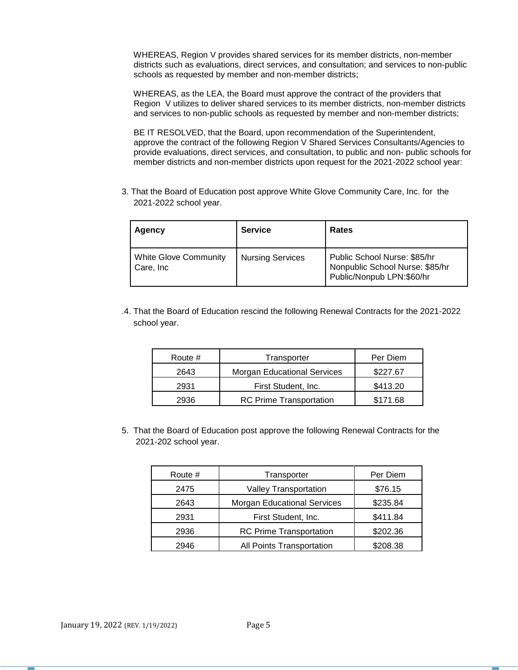WHEREAS, Region V provides shared services for its member districts, non-member districts such as evaluations, direct services, and consultation; and services to non-public schools as requested by member and non-member districts;

 WHEREAS, as the LEA, the Board must approve the contract of the providers that Region V utilizes to deliver shared services to its member districts, non-member districts and services to non-public schools as requested by member and non-member districts;

 BE IT RESOLVED, that the Board, upon recommendation of the Superintendent, approve the contract of the following Region V Shared Services Consultants/Agencies to provide evaluations, direct services, and consultation, to public and non- public schools for member districts and non-member districts upon request for the 2021-2022 school year:

3. That the Board of Education post approve White Glove Community Care, Inc. for the 2021-2022 school year.

| Agency                                     | <b>Service</b>          | Rates                                                                                        |
|--------------------------------------------|-------------------------|----------------------------------------------------------------------------------------------|
| <b>White Glove Community</b><br>Care, Inc. | <b>Nursing Services</b> | Public School Nurse: \$85/hr<br>Nonpublic School Nurse: \$85/hr<br>Public/Nonpub LPN:\$60/hr |

.4. That the Board of Education rescind the following Renewal Contracts for the 2021-2022 school year.

| Route # | Transporter                        | Per Diem |
|---------|------------------------------------|----------|
| 2643    | <b>Morgan Educational Services</b> | \$227.67 |
| 2931    | First Student, Inc.                |          |
| 2936    | <b>RC Prime Transportation</b>     | \$171.68 |

5. That the Board of Education post approve the following Renewal Contracts for the 2021-202 school year.

| Route # | Transporter                        | Per Diem |
|---------|------------------------------------|----------|
| 2475    | Valley Transportation              | \$76.15  |
| 2643    | <b>Morgan Educational Services</b> | \$235.84 |
| 2931    | First Student, Inc.                | \$411.84 |
| 2936    | <b>RC Prime Transportation</b>     | \$202.36 |
| 2946    | All Points Transportation          | \$208.38 |